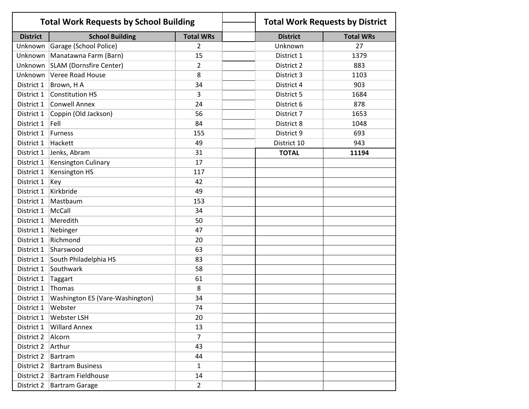| <b>Total Work Requests by School Building</b> |                                   |                  | <b>Total Work Requests by District</b> |                  |
|-----------------------------------------------|-----------------------------------|------------------|----------------------------------------|------------------|
| <b>District</b>                               | <b>School Building</b>            | <b>Total WRs</b> | <b>District</b>                        | <b>Total WRs</b> |
| Unknown                                       | Garage (School Police)            | $\overline{2}$   | Unknown                                | 27               |
| Unknown                                       | Manatawna Farm (Barn)             | 15               | District 1                             | 1379             |
|                                               | Unknown   SLAM (Dornsfire Center) | $\overline{2}$   | District 2                             | 883              |
|                                               | Unknown Veree Road House          | 8                | District 3                             | 1103             |
| District 1                                    | Brown, HA                         | 34               | District 4                             | 903              |
| District 1                                    | <b>Constitution HS</b>            | 3                | District 5                             | 1684             |
| District 1                                    | <b>Conwell Annex</b>              | 24               | District 6                             | 878              |
| District 1                                    | Coppin (Old Jackson)              | 56               | District 7                             | 1653             |
| District 1                                    | Fell                              | 84               | District 8                             | 1048             |
| District 1                                    | <b>Furness</b>                    | 155              | District 9                             | 693              |
| District 1                                    | Hackett                           | 49               | District 10                            | 943              |
| District 1                                    | Jenks, Abram                      | 31               | <b>TOTAL</b>                           | 11194            |
| District 1                                    | Kensington Culinary               | 17               |                                        |                  |
| District 1                                    | Kensington HS                     | 117              |                                        |                  |
| District 1                                    | Key                               | 42               |                                        |                  |
| District 1                                    | Kirkbride                         | 49               |                                        |                  |
| District 1                                    | Mastbaum                          | 153              |                                        |                  |
| District 1                                    | McCall                            | 34               |                                        |                  |
| District 1                                    | Meredith                          | 50               |                                        |                  |
| District 1                                    | Nebinger                          | 47               |                                        |                  |
| District 1                                    | Richmond                          | 20               |                                        |                  |
| District 1                                    | Sharswood                         | 63               |                                        |                  |
| District 1                                    | South Philadelphia HS             | 83               |                                        |                  |
| District 1                                    | Southwark                         | 58               |                                        |                  |
| District 1                                    | Taggart                           | 61               |                                        |                  |
| District 1                                    | Thomas                            | 8                |                                        |                  |
| District 1                                    | Washington ES (Vare-Washington)   | 34               |                                        |                  |
| District 1                                    | Webster                           | 74               |                                        |                  |
| District 1                                    | Webster LSH                       | 20               |                                        |                  |
| District 1                                    | <b>Willard Annex</b>              | 13               |                                        |                  |
| District 2                                    | Alcorn                            | $\overline{7}$   |                                        |                  |
| District 2                                    | Arthur                            | 43               |                                        |                  |
| District 2                                    | <b>Bartram</b>                    | 44               |                                        |                  |
| District 2                                    | <b>Bartram Business</b>           | 1                |                                        |                  |
| District 2                                    | <b>Bartram Fieldhouse</b>         | 14               |                                        |                  |
| District 2                                    | <b>Bartram Garage</b>             | $\overline{2}$   |                                        |                  |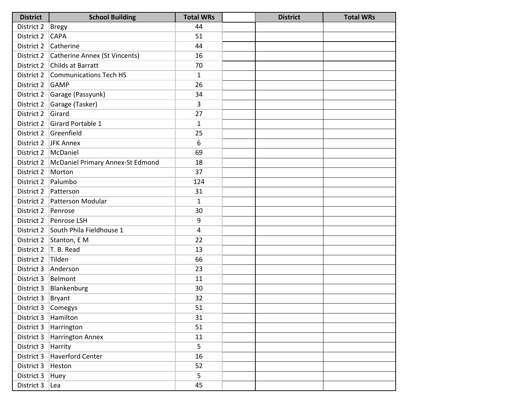| <b>District</b>    | <b>School Building</b>                   | <b>Total WRs</b> | <b>District</b> | <b>Total WRs</b> |
|--------------------|------------------------------------------|------------------|-----------------|------------------|
| District 2   Bregy |                                          | 44               |                 |                  |
| District 2         | <b>CAPA</b>                              | 51               |                 |                  |
| District 2         | Catherine                                | 44               |                 |                  |
|                    | District 2 Catherine Annex (St Vincents) | 16               |                 |                  |
| District 2         | Childs at Barratt                        | 70               |                 |                  |
|                    | District 2 Communications Tech HS        | $\mathbf{1}$     |                 |                  |
| District 2         | GAMP                                     | 26               |                 |                  |
|                    | District 2 Garage (Passyunk)             | 34               |                 |                  |
| District 2         | Garage (Tasker)                          | 3                |                 |                  |
| District 2         | Girard                                   | 27               |                 |                  |
| District 2         | Girard Portable 1                        | $\mathbf{1}$     |                 |                  |
| District 2         | Greenfield                               | 25               |                 |                  |
|                    | District 2 JFK Annex                     | 6                |                 |                  |
|                    | District 2   McDaniel                    | 69               |                 |                  |
| District 2         | McDaniel Primary Annex-St Edmond         | 18               |                 |                  |
| District 2         | Morton                                   | 37               |                 |                  |
| District 2         | Palumbo                                  | 124              |                 |                  |
|                    | District 2   Patterson                   | 31               |                 |                  |
|                    | District 2   Patterson Modular           | 1                |                 |                  |
| District 2 Penrose |                                          | 30               |                 |                  |
| District 2         | Penrose LSH                              | 9                |                 |                  |
|                    | District 2 South Phila Fieldhouse 1      | 4                |                 |                  |
|                    | District 2 Stanton, E M                  | 22               |                 |                  |
| District 2         | T. B. Read                               | 13               |                 |                  |
| District 2         | Tilden                                   | 66               |                 |                  |
| District 3         | Anderson                                 | 23               |                 |                  |
| District 3 Belmont |                                          | 11               |                 |                  |
| District 3         | Blankenburg                              | 30               |                 |                  |
| District 3         | Bryant                                   | 32               |                 |                  |
| District 3         | Comegys                                  | 51               |                 |                  |
| District 3         | Hamilton                                 | 31               |                 |                  |
| District 3         | Harrington                               | 51               |                 |                  |
| District 3         | <b>Harrington Annex</b>                  | 11               |                 |                  |
| District 3         | Harrity                                  | 5                |                 |                  |
| District 3         | <b>Haverford Center</b>                  | 16               |                 |                  |
| District 3         | Heston                                   | 52               |                 |                  |
| District 3         | Huey                                     | 5                |                 |                  |
| District 3         | Lea                                      | 45               |                 |                  |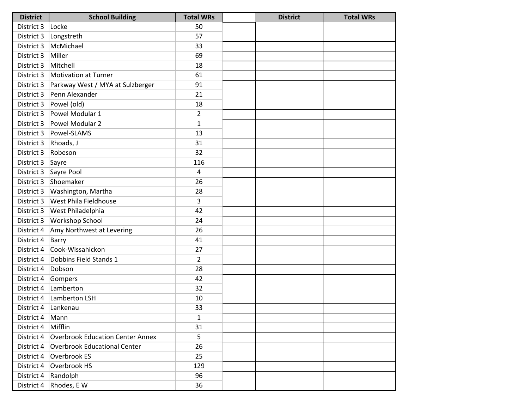| <b>District</b> | <b>School Building</b>                  | <b>Total WRs</b> | <b>District</b> | <b>Total WRs</b> |
|-----------------|-----------------------------------------|------------------|-----------------|------------------|
| District 3      | Locke                                   | 50               |                 |                  |
| District 3      | Longstreth                              | 57               |                 |                  |
| District 3      | McMichael                               | 33               |                 |                  |
| District 3      | Miller                                  | 69               |                 |                  |
| District 3      | Mitchell                                | 18               |                 |                  |
| District 3      | <b>Motivation at Turner</b>             | 61               |                 |                  |
| District 3      | Parkway West / MYA at Sulzberger        | 91               |                 |                  |
| District 3      | Penn Alexander                          | 21               |                 |                  |
| District 3      | Powel (old)                             | 18               |                 |                  |
| District 3      | Powel Modular 1                         | $\overline{2}$   |                 |                  |
| District 3      | Powel Modular 2                         | $\mathbf{1}$     |                 |                  |
| District 3      | Powel-SLAMS                             | 13               |                 |                  |
| District 3      | Rhoads, J                               | 31               |                 |                  |
| District 3      | Robeson                                 | 32               |                 |                  |
| District 3      | Sayre                                   | 116              |                 |                  |
| District 3      | Sayre Pool                              | 4                |                 |                  |
| District 3      | Shoemaker                               | 26               |                 |                  |
| District 3      | Washington, Martha                      | 28               |                 |                  |
| District 3      | West Phila Fieldhouse                   | 3                |                 |                  |
| District 3      | West Philadelphia                       | 42               |                 |                  |
| District 3      | Workshop School                         | 24               |                 |                  |
| District 4      | Amy Northwest at Levering               | 26               |                 |                  |
| District 4      | Barry                                   | 41               |                 |                  |
| District 4      | Cook-Wissahickon                        | 27               |                 |                  |
| District 4      | Dobbins Field Stands 1                  | $\overline{2}$   |                 |                  |
| District 4      | Dobson                                  | 28               |                 |                  |
| District 4      | Gompers                                 | 42               |                 |                  |
| District 4      | Lamberton                               | 32               |                 |                  |
| District 4      | Lamberton LSH                           | 10               |                 |                  |
| District 4      | Lankenau                                | 33               |                 |                  |
| District 4      | Mann                                    | $\mathbf{1}$     |                 |                  |
| District 4      | Mifflin                                 | 31               |                 |                  |
| District 4      | <b>Overbrook Education Center Annex</b> | 5                |                 |                  |
| District 4      | <b>Overbrook Educational Center</b>     | 26               |                 |                  |
| District 4      | Overbrook ES                            | 25               |                 |                  |
| District 4      | Overbrook HS                            | 129              |                 |                  |
| District 4      | Randolph                                | 96               |                 |                  |
| District 4      | Rhodes, E W                             | 36               |                 |                  |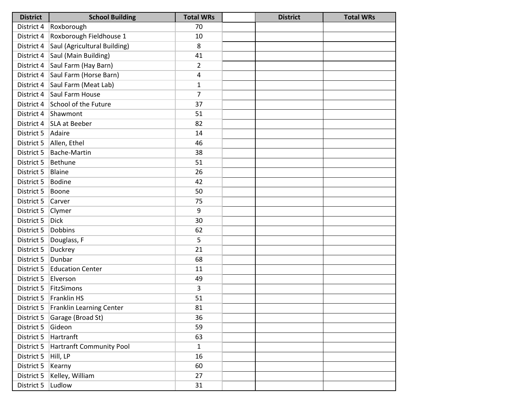| <b>District</b> | <b>School Building</b>                | <b>Total WRs</b> | <b>District</b> | <b>Total WRs</b> |
|-----------------|---------------------------------------|------------------|-----------------|------------------|
| District 4      | Roxborough                            | 70               |                 |                  |
| District 4      | Roxborough Fieldhouse 1               | 10               |                 |                  |
| District 4      | Saul (Agricultural Building)          | 8                |                 |                  |
| District 4      | Saul (Main Building)                  | 41               |                 |                  |
| District 4      | Saul Farm (Hay Barn)                  | $\overline{2}$   |                 |                  |
| District 4      | Saul Farm (Horse Barn)                | 4                |                 |                  |
| District 4      | Saul Farm (Meat Lab)                  | $\mathbf{1}$     |                 |                  |
| District 4      | Saul Farm House                       | 7                |                 |                  |
|                 | District 4 School of the Future       | 37               |                 |                  |
|                 | District 4 Shawmont                   | 51               |                 |                  |
|                 | District 4   SLA at Beeber            | 82               |                 |                  |
| District 5      | Adaire                                | 14               |                 |                  |
| District 5      | Allen, Ethel                          | 46               |                 |                  |
| District 5      | <b>Bache-Martin</b>                   | 38               |                 |                  |
| District 5      | Bethune                               | 51               |                 |                  |
| District 5      | Blaine                                | 26               |                 |                  |
| District 5      | <b>Bodine</b>                         | 42               |                 |                  |
| District 5      | Boone                                 | 50               |                 |                  |
| District 5      | Carver                                | 75               |                 |                  |
| District 5      | Clymer                                | 9                |                 |                  |
| District 5      | <b>Dick</b>                           | 30               |                 |                  |
| District 5      | <b>Dobbins</b>                        | 62               |                 |                  |
| District 5      | Douglass, F                           | 5                |                 |                  |
| District 5      | <b>Duckrey</b>                        | 21               |                 |                  |
| District 5      | Dunbar                                | 68               |                 |                  |
| District 5      | <b>Education Center</b>               | 11               |                 |                  |
| District 5      | Elverson                              | 49               |                 |                  |
| District 5      | FitzSimons                            | 3                |                 |                  |
| District 5      | Franklin HS                           | 51               |                 |                  |
|                 | District 5   Franklin Learning Center | 81               |                 |                  |
| District 5      | Garage (Broad St)                     | 36               |                 |                  |
| District 5      | Gideon                                | 59               |                 |                  |
| District 5      | Hartranft                             | 63               |                 |                  |
| District 5      | Hartranft Community Pool              | $\mathbf{1}$     |                 |                  |
| District 5      | Hill, LP                              | 16               |                 |                  |
| District 5      | Kearny                                | 60               |                 |                  |
| District 5      | Kelley, William                       | 27               |                 |                  |
| District 5      | Ludlow                                | 31               |                 |                  |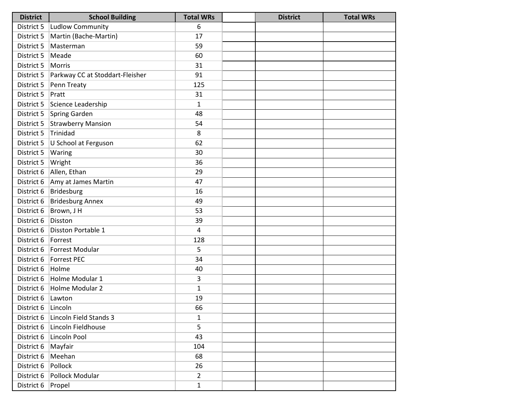| <b>District</b>      | <b>School Building</b>          | <b>Total WRs</b> | <b>District</b> | <b>Total WRs</b> |
|----------------------|---------------------------------|------------------|-----------------|------------------|
| District 5           | Ludlow Community                | 6                |                 |                  |
| District 5           | Martin (Bache-Martin)           | 17               |                 |                  |
| District 5           | Masterman                       | 59               |                 |                  |
| District 5           | Meade                           | 60               |                 |                  |
| District 5           | Morris                          | 31               |                 |                  |
| District 5           | Parkway CC at Stoddart-Fleisher | 91               |                 |                  |
| District 5           | Penn Treaty                     | 125              |                 |                  |
| District 5           | Pratt                           | 31               |                 |                  |
| District 5           | Science Leadership              | 1                |                 |                  |
| District 5           | Spring Garden                   | 48               |                 |                  |
| District 5           | <b>Strawberry Mansion</b>       | 54               |                 |                  |
| District 5           | Trinidad                        | 8                |                 |                  |
| District 5           | U School at Ferguson            | 62               |                 |                  |
| District 5           | Waring                          | 30               |                 |                  |
| District 5           | Wright                          | 36               |                 |                  |
| District 6           | Allen, Ethan                    | 29               |                 |                  |
| District 6           | Amy at James Martin             | 47               |                 |                  |
| District 6           | Bridesburg                      | 16               |                 |                  |
| District 6           | <b>Bridesburg Annex</b>         | 49               |                 |                  |
| District 6           | Brown, J H                      | 53               |                 |                  |
| District 6           | Disston                         | 39               |                 |                  |
| District 6           | Disston Portable 1              | 4                |                 |                  |
| District 6   Forrest |                                 | 128              |                 |                  |
| District 6           | Forrest Modular                 | 5                |                 |                  |
| District 6           | Forrest PEC                     | 34               |                 |                  |
| District 6           | Holme                           | 40               |                 |                  |
| District 6           | Holme Modular 1                 | 3                |                 |                  |
| District 6           | Holme Modular 2                 | $\mathbf{1}$     |                 |                  |
| District 6           | Lawton                          | 19               |                 |                  |
| District 6           | Lincoln                         | 66               |                 |                  |
| District 6           | Lincoln Field Stands 3          | 1                |                 |                  |
| District 6           | Lincoln Fieldhouse              | 5                |                 |                  |
| District 6           | Lincoln Pool                    | 43               |                 |                  |
| District 6           | Mayfair                         | 104              |                 |                  |
| District 6           | Meehan                          | 68               |                 |                  |
| District 6           | Pollock                         | 26               |                 |                  |
| District 6           | Pollock Modular                 | $\overline{2}$   |                 |                  |
| District 6           | Propel                          | $\mathbf{1}$     |                 |                  |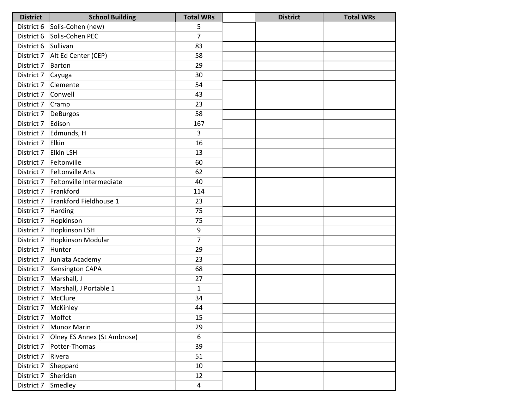| <b>District</b>     | <b>School Building</b>           | <b>Total WRs</b> | <b>District</b> | <b>Total WRs</b> |
|---------------------|----------------------------------|------------------|-----------------|------------------|
|                     | District 6 Solis-Cohen (new)     | 5                |                 |                  |
| District 6          | Solis-Cohen PEC                  | $\overline{7}$   |                 |                  |
| District 6 Sullivan |                                  | 83               |                 |                  |
|                     | District 7   Alt Ed Center (CEP) | 58               |                 |                  |
| District 7          | Barton                           | 29               |                 |                  |
| District 7          | Cayuga                           | 30               |                 |                  |
| District 7          | Clemente                         | 54               |                 |                  |
| District 7          | Conwell                          | 43               |                 |                  |
| District 7          | Cramp                            | 23               |                 |                  |
| District 7          | DeBurgos                         | 58               |                 |                  |
| District 7          | Edison                           | 167              |                 |                  |
| District 7          | Edmunds, H                       | 3                |                 |                  |
| District 7          | Elkin                            | 16               |                 |                  |
| District 7          | <b>Elkin LSH</b>                 | 13               |                 |                  |
| District 7          | Feltonville                      | 60               |                 |                  |
| District 7          | Feltonville Arts                 | 62               |                 |                  |
| District 7          | Feltonville Intermediate         | 40               |                 |                  |
| District 7          | Frankford                        | 114              |                 |                  |
| District 7          | Frankford Fieldhouse 1           | 23               |                 |                  |
| District 7          | Harding                          | 75               |                 |                  |
| District 7          | Hopkinson                        | 75               |                 |                  |
| District 7          | <b>Hopkinson LSH</b>             | 9                |                 |                  |
| District 7          | Hopkinson Modular                | $\overline{7}$   |                 |                  |
| District 7          | Hunter                           | 29               |                 |                  |
| District 7          | Juniata Academy                  | 23               |                 |                  |
| District 7          | <b>Kensington CAPA</b>           | 68               |                 |                  |
| District 7          | Marshall, J                      | 27               |                 |                  |
| District 7          | Marshall, J Portable 1           | $\mathbf{1}$     |                 |                  |
| District 7          | McClure                          | 34               |                 |                  |
| District 7          | McKinley                         | 44               |                 |                  |
| District 7          | Moffet                           | 15               |                 |                  |
| District 7          | <b>Munoz Marin</b>               | 29               |                 |                  |
| District 7          | Olney ES Annex (St Ambrose)      | 6                |                 |                  |
| District 7          | Potter-Thomas                    | 39               |                 |                  |
| District 7          | Rivera                           | 51               |                 |                  |
| District 7          | Sheppard                         | 10               |                 |                  |
| District 7          | Sheridan                         | 12               |                 |                  |
| District 7          | Smedley                          | 4                |                 |                  |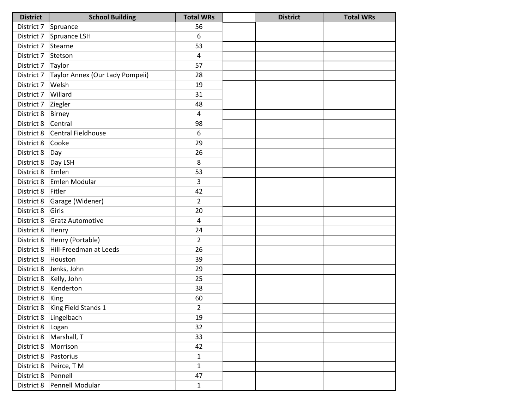| <b>District</b>     | <b>School Building</b>           | <b>Total WRs</b> | <b>District</b> | <b>Total WRs</b> |
|---------------------|----------------------------------|------------------|-----------------|------------------|
| District 7 Spruance |                                  | 56               |                 |                  |
| District 7          | Spruance LSH                     | 6                |                 |                  |
| District 7          | Stearne                          | 53               |                 |                  |
| District 7          | Stetson                          | $\overline{4}$   |                 |                  |
| District 7          | Taylor                           | 57               |                 |                  |
| District 7          | Taylor Annex (Our Lady Pompeii)  | 28               |                 |                  |
| District 7          | Welsh                            | 19               |                 |                  |
| District 7          | Willard                          | 31               |                 |                  |
| District 7          | Ziegler                          | 48               |                 |                  |
| District 8          | <b>Birney</b>                    | 4                |                 |                  |
| District 8          | Central                          | 98               |                 |                  |
| District 8          | Central Fieldhouse               | 6                |                 |                  |
| District 8          | Cooke                            | 29               |                 |                  |
| District 8          | Day                              | 26               |                 |                  |
| District 8          | Day LSH                          | 8                |                 |                  |
| District 8          | Emlen                            | 53               |                 |                  |
| District 8          | Emlen Modular                    | 3                |                 |                  |
| District 8          | Fitler                           | 42               |                 |                  |
| District 8          | Garage (Widener)                 | $\overline{2}$   |                 |                  |
| District 8          | Girls                            | 20               |                 |                  |
| District 8          | <b>Gratz Automotive</b>          | 4                |                 |                  |
| District 8          | Henry                            | 24               |                 |                  |
| District 8          | Henry (Portable)                 | $\overline{2}$   |                 |                  |
| District 8          | Hill-Freedman at Leeds           | 26               |                 |                  |
| District 8          | Houston                          | 39               |                 |                  |
| District 8          | Jenks, John                      | 29               |                 |                  |
| District 8          | Kelly, John                      | 25               |                 |                  |
| District 8          | Kenderton                        | 38               |                 |                  |
| District 8          | King                             | 60               |                 |                  |
|                     | District 8   King Field Stands 1 | $\overline{2}$   |                 |                  |
| District 8          | Lingelbach                       | 19               |                 |                  |
| District 8          | Logan                            | 32               |                 |                  |
| District 8          | Marshall, T                      | 33               |                 |                  |
| District 8          | Morrison                         | 42               |                 |                  |
| District 8          | Pastorius                        | $\mathbf 1$      |                 |                  |
| District 8          | Peirce, TM                       | $\mathbf{1}$     |                 |                  |
| District 8          | Pennell                          | 47               |                 |                  |
| District 8          | Pennell Modular                  | $\mathbf{1}$     |                 |                  |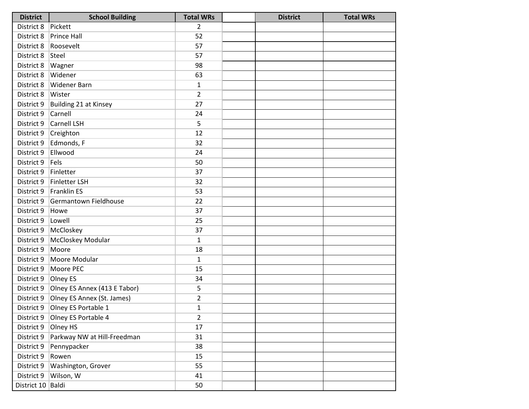| <b>District</b>     | <b>School Building</b>       | <b>Total WRs</b> | <b>District</b> | <b>Total WRs</b> |
|---------------------|------------------------------|------------------|-----------------|------------------|
| District 8          | Pickett                      | $\overline{2}$   |                 |                  |
| District 8          | <b>Prince Hall</b>           | 52               |                 |                  |
| District 8          | Roosevelt                    | 57               |                 |                  |
| District 8          | Steel                        | 57               |                 |                  |
| District 8          | Wagner                       | 98               |                 |                  |
| District 8          | Widener                      | 63               |                 |                  |
| District 8          | <b>Widener Barn</b>          | $\mathbf{1}$     |                 |                  |
| District 8          | Wister                       | $\overline{2}$   |                 |                  |
| District 9          | Building 21 at Kinsey        | 27               |                 |                  |
| District 9          | Carnell                      | 24               |                 |                  |
| District 9          | Carnell LSH                  | 5                |                 |                  |
| District 9          | Creighton                    | 12               |                 |                  |
| District 9          | Edmonds, F                   | 32               |                 |                  |
| District 9          | Ellwood                      | 24               |                 |                  |
| District 9          | Fels                         | 50               |                 |                  |
| District 9          | Finletter                    | 37               |                 |                  |
| District 9          | <b>Finletter LSH</b>         | 32               |                 |                  |
| District 9          | Franklin ES                  | 53               |                 |                  |
| District 9          | Germantown Fieldhouse        | 22               |                 |                  |
| District 9          | Howe                         | 37               |                 |                  |
| District 9          | Lowell                       | 25               |                 |                  |
| District 9          | McCloskey                    | 37               |                 |                  |
| District 9          | McCloskey Modular            | $\mathbf{1}$     |                 |                  |
| District 9          | Moore                        | 18               |                 |                  |
| District 9          | Moore Modular                | $\mathbf{1}$     |                 |                  |
| District 9          | Moore PEC                    | 15               |                 |                  |
| District 9          | Olney ES                     | 34               |                 |                  |
| District 9          | Olney ES Annex (413 E Tabor) | 5                |                 |                  |
| District 9          | Olney ES Annex (St. James)   | $\overline{2}$   |                 |                  |
| District 9          | Olney ES Portable 1          | $\mathbf{1}$     |                 |                  |
| District 9          | Olney ES Portable 4          | $\overline{2}$   |                 |                  |
| District 9          | Olney HS                     | 17               |                 |                  |
| District 9          | Parkway NW at Hill-Freedman  | 31               |                 |                  |
| District 9          | Pennypacker                  | 38               |                 |                  |
| District 9          | Rowen                        | 15               |                 |                  |
| District 9          | Washington, Grover           | 55               |                 |                  |
| District 9          | Wilson, W                    | 41               |                 |                  |
| District 10   Baldi |                              | 50               |                 |                  |